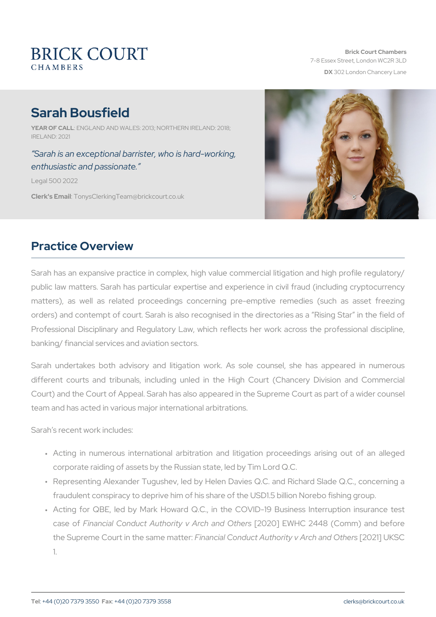# Sarah Bousfield

YEAR OF CALNL GLAND AND WALES: 2013; NORTHERN IRELAND: 2018; IRELAND: 2021

Sarah is an exceptional bam osken, gwho is hardenthusiastic and passionate.

Legal 500 2022

Clerk's Emanily sClerking Team @brickcourt.co.uk

### Practice Overview

Sarah has an expansive practice in complex, high value commercial public law matters. Sarah has particular expertise and experience in matters), as well as related proceedings concerning pre-emptive orders) and contempt of court. Sarah is also recognised in the directories Professional Disciplinary and Regulatory Law, which reflects her work banking/ financial services and aviation sectors.

Sarah undertakes both advisory and litigation work. As sole couns different courts and tribunals, including unled in the High Court Court) and the Court of Appeal. Sarah has also appeared in the Supre team and has acted in various major international arbitrations.

Sarah s recent work includes:

- " Acting in numerous international arbitration and litigation proc corporate raiding of assets by the Russian state, led by Tim Lord
- " Representing Alexander Tugushev, led by Helen Davies Q.C. and fraudulent conspiracy to deprive him of his share of the USD1.5 bi
- " Acting for QBE, led by Mark Howard Q.C., in the COVID-19 Bu case Foifnancial Conduct Authority v [240r2c0h] aEnWolHOCth2e4r4s8 (Comm) ar the Supreme Court in the Fisme and announct Authority v 240r2ch] alhKdSCO 1.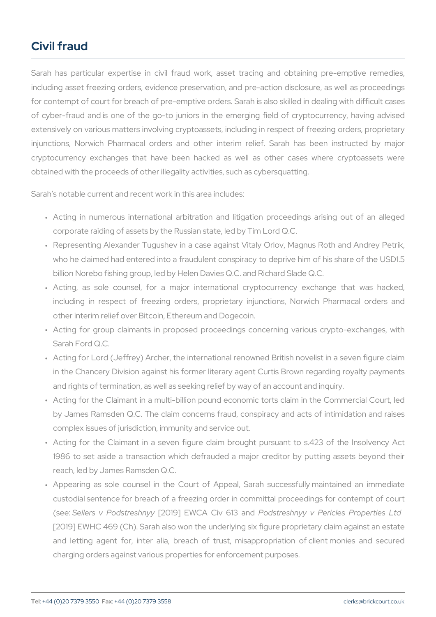# Civil fraud

Sarah has particular expertise in civil fraud work, asset tracing including asset freezing orders, evidence preservation, and pre-action for contempt of court for breach of pre-emptive orders. Sarah is also of cyber-fraud and is one of the go-to juniors in the emerging fiel extensively on various matters involving cryptoassets, including in re injunctions, Norwich Pharmacal orders and other interim relief. cryptocurrency exchanges that have been hacked as well as oth obtained with the proceeds of other illegality activities, such as cyber

Sarah s notable current and recent work in this area includes:

- " Acting in numerous international arbitration and litigation proc corporate raiding of assets by the Russian state, led by Tim Lord
- " Representing Alexander Tugushev in a case against Vitaly Orlov, who he claimed had entered into a fraudulent conspiracy to depri billion Norebo fishing group, led by Helen Davies Q.C. and Richard
- " Acting, as sole counsel, for a major international cryptocur including in respect of freezing orders, proprietary injunction other interim relief over Bitcoin, Ethereum and Dogecoin.
- " Acting for group claimants in proposed proceedings concerning Sarah Ford Q.C.
- " Acting for Lord (Jeffrey) Archer, the international renowned Britis in the Chancery Division against his former literary agent Curtis and rights of termination, as well as seeking relief by way of an a
- " Acting for the Claimant in a multi-billion pound economic torts c by James Ramsden Q.C. The claim concerns fraud, conspiracy and complex issues of jurisdiction, immunity and service out.
- " Acting for the Claimant in a seven figure claim brought pursua 1986 to set aside a transaction which defrauded a major credit reach, led by James Ramsden Q.C.
- " Appearing as sole counsel in the Court of Appeal, Sarah suc custodial sentence for breach of a freezing order in committal pr (se Sellers v Podst 2e0sth9n) y EWCA CiRo ostate and y y v Pericles Prop [2019] EWHC 469 (Ch). Sarah also won the underlying six figure proprietation and also won the underlying six figure proprietary containst and estate and estate and estate and estate and estate and estate and estate and est and letting agent for, inter alia, breach of trust, misappropr charging orders against various properties for enforcement purpos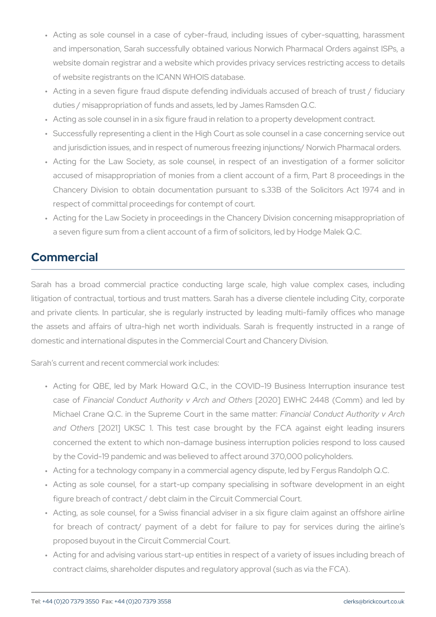- " Acting as sole counsel in a case of cyber-fraud, including issu and impersonation, Sarah successfully obtained various Norwich website domain registrar and a website which provides privacy se of website registrants on the ICANN WHOIS database.
- " Acting in a seven figure fraud dispute defending individuals acc duties / misappropriation of funds and assets, led by James Ramsd
- " Acting as sole counsel in in a six figure fraud in relation to a prop " Successfully representing a client in the High Court as sole couns
- and jurisdiction issues, and in respect of numerous freezing injune
- " Acting for the Law Society, as sole counsel, in respect of an accused of misappropriation of monies from a client account of Chancery Division to obtain documentation pursuant to s.33B of respect of committal proceedings for contempt of court.
- " Acting for the Law Society in proceedings in the Chancery Divisio a seven figure sum from a client account of a firm of solicitors, le

### Commercial

Sarah has a broad commercial practice conducting large scale, litigation of contractual, tortious and trust matters. Sarah has a dive and private clients. In particular, she is regularly instructed by le the assets and affairs of ultra-high net worth individuals. Sarah domestic and international disputes in the Commercial Court and Chan

Sarah s current and recent commercial work includes:

- " Acting for QBE, led by Mark Howard Q.C., in the COVID-19 Bu case Foifnancial Conduct Authority v [240r2c0h] a En Wol HOC th2e4r4s (Comm) and Michael Crane Q.C. in the Supreme CoFuintanin that eConduct and the horit and  $Oth@2@21$  UKSC 1. This test case brought by the FCA concerned the extent to which non-damage business interruption by the Covid-19 pandemic and was believed to affect around 370,0
- " Acting for a technology company in a commercial agency dispute,
- " Acting as sole counsel, for a start-up company specialising in figure breach of contract / debt claim in the Circuit Commercial Co
- " Acting, as sole counsel, for a Swiss financial adviser in a six f for breach of contract/ payment of a debt for failure to pay proposed buyout in the Circuit Commercial Court.
- " Acting for and advising various start-up entities in respect of a v contract claims, shareholder disputes and regulatory approval (sud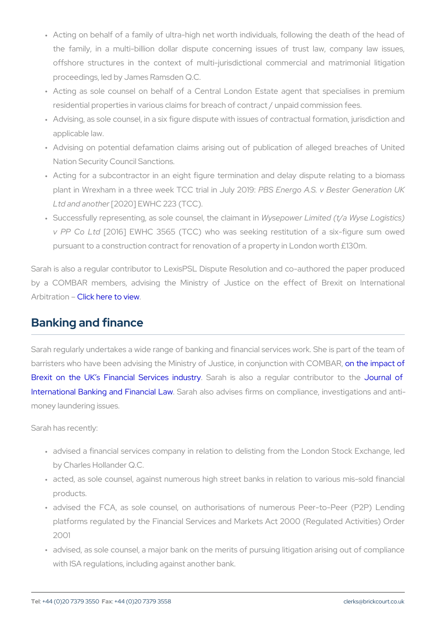- " Acting on behalf of a family of ultra-high net worth individuals, the family, in a multi-billion dollar dispute concerning issues offshore structures in the context of multi-jurisdictional comp proceedings, led by James Ramsden Q.C.
- " Acting as sole counsel on behalf of a Central London Estate residential properties in various claims for breach of contract / un
- " Advising, as sole counsel, in a six figure dispute with issues of c applicable law.
- " Advising on potential defamation claims arising out of publicati Nation Security Council Sanctions.
- " Acting for a subcontractor in an eight figure termination and de plant in Wrexham in a three week FTESS Eminatgion AU.GI.y & OBIe9ster Ge Ltd and  $a \eta$ [2t[h]  $20$ ] EWHC 223 (TCC).
- " Successfully representing, as sole oWolyusmespeol,wehneLichhaitendan(tt/ian Wyse v PP Co [20d 6] EWHC 3565 (TCC) who was seeking restitution pursuant to a construction contract for renovation of a property in

Sarah is also a regular contributor to LexisPSL Dispute Resolution a by a COMBAR members, advising the Ministry of Justice on th Arbitrati**Chick here to view** 

#### Banking and finance

Sarah regularly undertakes a wide range of banking and financial ser barristers who have been advising the Ministry of Justicet, henimoprajouth o [Brexit on the UK s Financi](http://www.combar.com/news/combar-brexit-papers/)al SSee a whices a hedcustary regular Journmabuotor [International Banking an](/images/uploads/documents/Bad_banks_and_the_No_Creditor_Worse_Off_compensation_scheme.pdf)d Fainan cabelo Law vises firms on compliance, in money laundering issues.

Sarah has recently:

- " advised a financial services company in relation to delisting fror by Charles Hollander Q.C.
- " acted, as sole counsel, against numerous high street banks in re products.
- " advised the FCA, as sole counsel, on authorisations of numer platforms regulated by the Financial Services and Markets Act 2 2001
- " advised, as sole counsel, a major bank on the merits of pursuing with ISA regulations, including against another bank.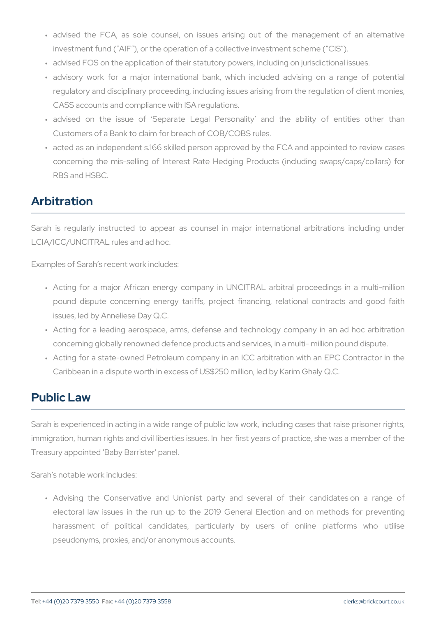- " advised the FCA, as sole counsel, on issues arising out of investment fund ( AIF ), or the operation of a collective investment
- " advised FOS on the application of their statutory powers, includin
- " advisory work for a major international bank, which included regulatory and disciplinary proceeding, including issues arising fi CASS accounts and compliance with ISA regulations.
- " advised on the issue of Separate Legal Personality and Customers of a Bank to claim for breach of COB/COBS rules.
- " acted as an independent s.166 skilled person approved by the FC concerning the mis-selling of Interest Rate Hedging Products ( RBS and HSBC.

# Arbitration

Sarah is regularly instructed to appear as counsel in major inte LCIA/ICC/UNCITRAL rules and ad hoc.

Examples of Sarah s recent work includes:

- " Acting for a major African energy company in UNCITRAL arbitr pound dispute concerning energy tariffs, project financing, re issues, led by Anneliese Day Q.C.
- " Acting for a leading aerospace, arms, defense and technology concerning globally renowned defence products and services, in a
- " Acting for a state-owned Petroleum company in an ICC arbitratio Caribbean in a dispute worth in excess of US\$250 million, led by K

## Public Law

Sarah is experienced in acting in a wide range of public law work, in immigration, human rights and civil liberties issues. In her first yea Treasury appointed Baby Barrister panel.

Sarah s notable work includes:

" Advising the Conservative and Unionist party and several o electoral law issues in the run up to the 2019 General Electi harassment of political candidates, particularly by users pseudonyms, proxies, and/or anonymous accounts.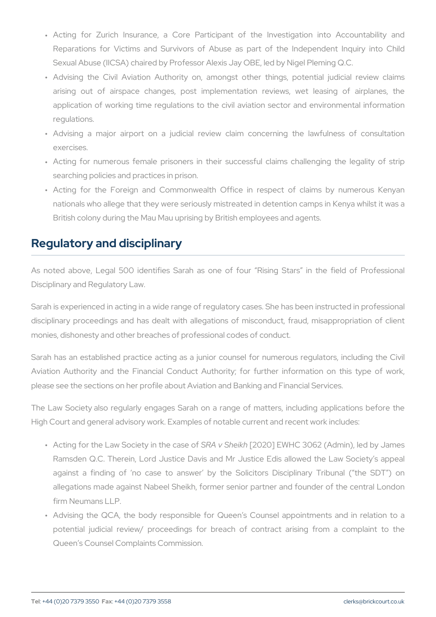- " Acting for Zurich Insurance, a Core Participant of the Inv Reparations for Victims and Survivors of Abuse as part of the Sexual Abuse (IICSA) chaired by Professor Alexis Jay OBE, led by
- " Advising the Civil Aviation Authority on, amongst other thing arising out of airspace changes, post implementation review application of working time regulations to the civil aviation sec regulations.
- " Advising a major airport on a judicial review claim concern exercises.
- " Acting for numerous female prisoners in their successful claim searching policies and practices in prison.
- " Acting for the Foreign and Commonwealth Office in respect nationals who allege that they were seriously mistreated in deten British colony during the Mau Mau uprising by British employees a

### Regulatory and disciplinary

As noted above, Legal 500 identifies Sarah as one of four Rising Disciplinary and Regulatory Law.

Sarah is experienced in acting in a wide range of regulatory cases. S disciplinary proceedings and has dealt with allegations of miscond monies, dishonesty and other breaches of professional codes of condu

Sarah has an established practice acting as a junior counsel for numerous Aviation Authority and the Financial Conduct Authority; for furthe please see the sections on her profile about Aviation and Banking and

The Law Society also regularly engages Sarah on a range of matte High Court and general advisory work. Examples of notable current an

- " Acting for the Law Societ \$ R pA tvh & htealisk and f EWHC 3062 (Admin), led Ramsden Q.C. Therein, Lord Justice Davis and Mr Justice Edis against a finding of no case to answer by the Solicitors allegations made against Nabeel Sheikh, former senior partner a firm Neumans LLP.
- " Advising the QCA, the body responsible for Queen s Counsel a potential judicial review/ proceedings for breach of contract Queen s Counsel Complaints Commission.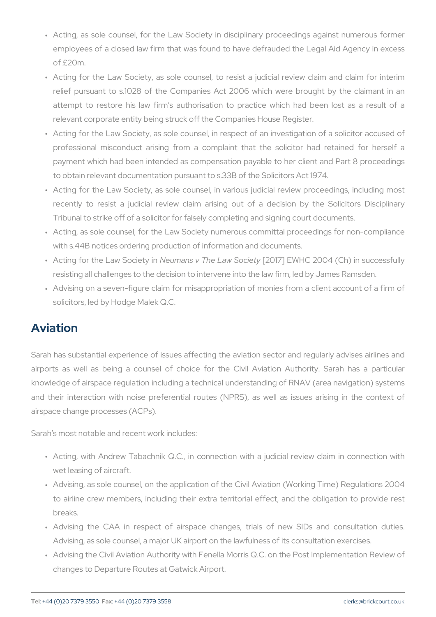- " Acting, as sole counsel, for the Law Society in disciplinary pro employees of a closed law firm that was found to have defrauded of £20m.
- " Acting for the Law Society, as sole counsel, to resist a judicia relief pursuant to s.1028 of the Companies Act 2006 which we attempt to restore his law firm s authorisation to practice wh relevant corporate entity being struck off the Companies House Re
- " Acting for the Law Society, as sole counsel, in respect of an inv professional misconduct arising from a complaint that the so payment which had been intended as compensation payable to he to obtain relevant documentation pursuant to s.33B of the Solicito
- " Acting for the Law Society, as sole counsel, in various judicial recently to resist a judicial review claim arising out of a d Tribunal to strike off of a solicitor for falsely completing and sign
- " Acting, as sole counsel, for the Law Society numerous committal with s.44B notices ordering production of information and documer
- " Acting for the Law N **Sea conies in** The La [M 20 Sto 7 c] in Et [W H C 2004 (Ch) in su resisting all challenges to the decision to intervene into the law firm
- " Advising on a seven-figure claim for misappropriation of monies solicitors, led by Hodge Malek Q.C.

#### Aviation

Sarah has substantial experience of issues affecting the aviation sed airports as well as being a counsel of choice for the Civil Avi knowledge of airspace regulation including a technical understanding and their interaction with noise preferential routes (NPRS), as we airspace change processes (ACPs).

Sarah s most notable and recent work includes:

- " Acting, with Andrew Tabachnik Q.C., in connection with a judic wet leasing of aircraft.
- " Advising, as sole counsel, on the application of the Civil Aviation to airline crew members, including their extra territorial effect, breaks.
- " Advising the CAA in respect of airspace changes, trials of Advising, as sole counsel, a major UK airport on the lawfulness of
- " Advising the Civil Aviation Authority with Fenella Morris Q.C. on t changes to Departure Routes at Gatwick Airport.